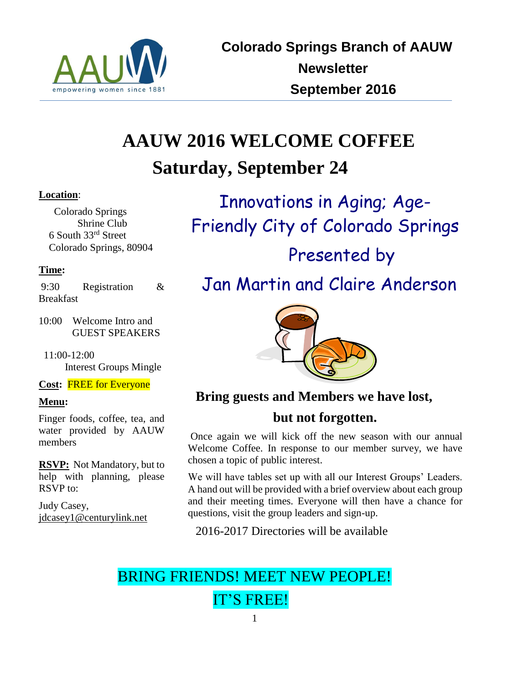

# **AAUW 2016 WELCOME COFFEE Saturday, September 24**

## **Location**:

 Colorado Springs Shrine Club 6 South 33rd Street Colorado Springs, 80904

## **Time:**

9:30 Registration & Breakfast

10:00 Welcome Intro and GUEST SPEAKERS

 11:00-12:00 Interest Groups Mingle

**Cost:** FREE for Everyone

## **Menu:**

Finger foods, coffee, tea, and water provided by AAUW members

**RSVP:** Not Mandatory, but to help with planning, please RSVP to:

Judy Casey, [jdcasey1@centurylink.net](mailto:jdcasey1@centurylink.net)

Innovations in Aging; Age-Friendly City of Colorado Springs Presented by Jan Martin and Claire Anderson



## **Bring guests and Members we have lost,**

## **but not forgotten.**

Once again we will kick off the new season with our annual Welcome Coffee. In response to our member survey, we have chosen a topic of public interest.

We will have tables set up with all our Interest Groups' Leaders. A hand out will be provided with a brief overview about each group and their meeting times. Everyone will then have a chance for questions, visit the group leaders and sign-up.

2016-2017 Directories will be available

## BRING FRIENDS! MEET NEW PEOPLE! IT'S FREE!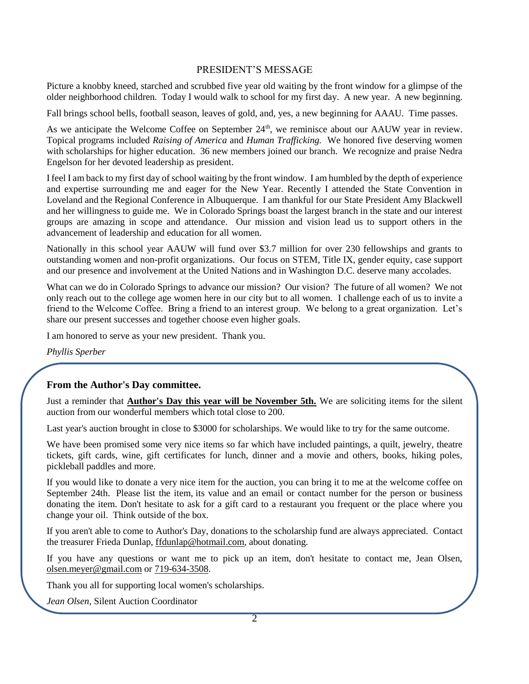## PRESIDENT'S MESSAGE

Picture a knobby kneed, starched and scrubbed five year old waiting by the front window for a glimpse of the older neighborhood children. Today I would walk to school for my first day. A new year. A new beginning.

Fall brings school bells, football season, leaves of gold, and, yes, a new beginning for AAAU. Time passes.

As we anticipate the Welcome Coffee on September  $24<sup>th</sup>$ , we reminisce about our AAUW year in review. Topical programs included *Raising of America* and *Human Trafficking.* We honored five deserving women with scholarships for higher education. 36 new members joined our branch. We recognize and praise Nedra Engelson for her devoted leadership as president.

I feel I am back to my first day of school waiting by the front window. I am humbled by the depth of experience and expertise surrounding me and eager for the New Year. Recently I attended the State Convention in Loveland and the Regional Conference in Albuquerque. I am thankful for our State President Amy Blackwell and her willingness to guide me. We in Colorado Springs boast the largest branch in the state and our interest groups are amazing in scope and attendance. Our mission and vision lead us to support others in the advancement of leadership and education for all women.

Nationally in this school year AAUW will fund over \$3.7 million for over 230 fellowships and grants to outstanding women and non-profit organizations. Our focus on STEM, Title IX, gender equity, case support and our presence and involvement at the United Nations and in Washington D.C. deserve many accolades.

What can we do in Colorado Springs to advance our mission? Our vision? The future of all women? We not only reach out to the college age women here in our city but to all women. I challenge each of us to invite a friend to the Welcome Coffee. Bring a friend to an interest group. We belong to a great organization. Let's share our present successes and together choose even higher goals.

I am honored to serve as your new president. Thank you.

*Phyllis Sperber* 

#### **From the Author's Day committee.**

Just a reminder that **Author's Day this year will be November 5th.** We are soliciting items for the silent auction from our wonderful members which total close to 200.

Last year's auction brought in close to \$3000 for scholarships. We would like to try for the same outcome.

We have been promised some very nice items so far which have included paintings, a quilt, jewelry, theatre tickets, gift cards, wine, gift certificates for lunch, dinner and a movie and others, books, hiking poles, pickleball paddles and more.

If you would like to donate a very nice item for the auction, you can bring it to me at the welcome coffee on September 24th. Please list the item, its value and an email or contact number for the person or business donating the item. Don't hesitate to ask for a gift card to a restaurant you frequent or the place where you change your oil. Think outside of the box.

If you aren't able to come to Author's Day, donations to the scholarship fund are always appreciated. Contact the treasurer Frieda Dunlap, [ffdunlap@hotmail.com,](javascript:window.top.ZmObjectManager.__doClickObject(document.getElementById(%22OBJ_PREFIX_DWT917_com_zimbra_email%22));) about donating.

If you have any questions or want me to pick up an item, don't hesitate to contact me, Jean Olsen, [olsen.meyer@gmail.com](javascript:window.top.ZmObjectManager.__doClickObject(document.getElementById(%22OBJ_PREFIX_DWT918_com_zimbra_email%22));) or [719-634-3508.](tel:719-634-3508)

Thank you all for supporting local women's scholarships.

*Jean Olsen,* Silent Auction Coordinator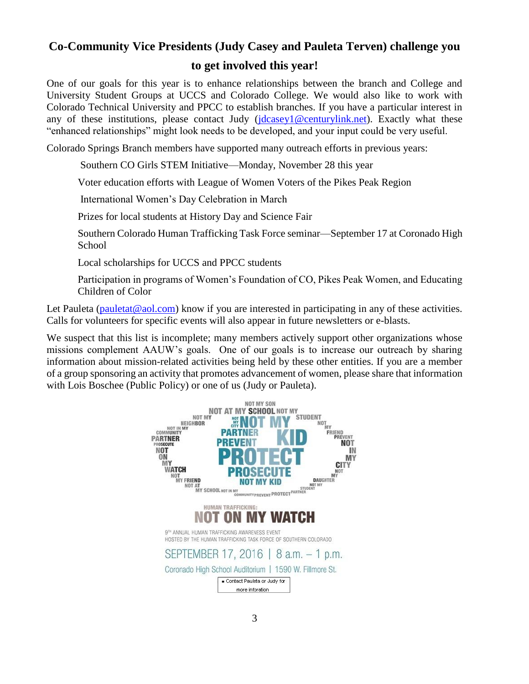## **Co-Community Vice Presidents (Judy Casey and Pauleta Terven) challenge you to get involved this year!**

One of our goals for this year is to enhance relationships between the branch and College and University Student Groups at UCCS and Colorado College. We would also like to work with Colorado Technical University and PPCC to establish branches. If you have a particular interest in any of these institutions, please contact Judy [\(jdcasey1@centurylink.net\)](mailto:jdcasey1@centurylink.net). Exactly what these "enhanced relationships" might look needs to be developed, and your input could be very useful.

Colorado Springs Branch members have supported many outreach efforts in previous years:

Southern CO Girls STEM Initiative—Monday, November 28 this year

Voter education efforts with League of Women Voters of the Pikes Peak Region

International Women's Day Celebration in March

Prizes for local students at History Day and Science Fair

Southern Colorado Human Trafficking Task Force seminar—September 17 at Coronado High School

Local scholarships for UCCS and PPCC students

Participation in programs of Women's Foundation of CO, Pikes Peak Women, and Educating Children of Color

Let Pauleta ( $p$ auletat@aol.com) know if you are interested in participating in any of these activities. Calls for volunteers for specific events will also appear in future newsletters or e-blasts.

We suspect that this list is incomplete; many members actively support other organizations whose missions complement AAUW's goals. One of our goals is to increase our outreach by sharing information about mission-related activities being held by these other entities. If you are a member of a group sponsoring an activity that promotes advancement of women, please share that information with Lois Boschee (Public Policy) or one of us (Judy or Pauleta).

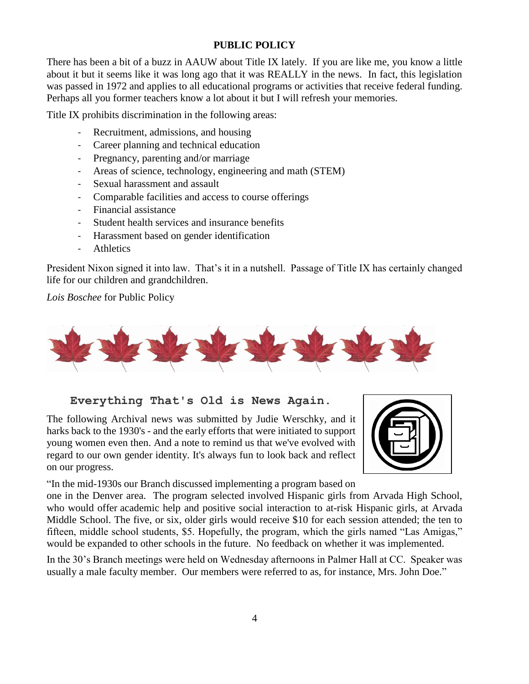## **PUBLIC POLICY**

There has been a bit of a buzz in AAUW about Title IX lately. If you are like me, you know a little about it but it seems like it was long ago that it was REALLY in the news. In fact, this legislation was passed in 1972 and applies to all educational programs or activities that receive federal funding. Perhaps all you former teachers know a lot about it but I will refresh your memories.

Title IX prohibits discrimination in the following areas:

- Recruitment, admissions, and housing
- Career planning and technical education
- Pregnancy, parenting and/or marriage
- Areas of science, technology, engineering and math (STEM)
- Sexual harassment and assault
- Comparable facilities and access to course offerings
- Financial assistance
- Student health services and insurance benefits
- Harassment based on gender identification
- Athletics

President Nixon signed it into law. That's it in a nutshell. Passage of Title IX has certainly changed life for our children and grandchildren.

*Lois Boschee* for Public Policy



## **Everything That's Old is News Again.**

The following Archival news was submitted by Judie Werschky, and it harks back to the 1930's - and the early efforts that were initiated to support young women even then. And a note to remind us that we've evolved with regard to our own gender identity. It's always fun to look back and reflect on our progress.



"In the mid-1930s our Branch discussed implementing a program based on

one in the Denver area. The program selected involved Hispanic girls from Arvada High School, who would offer academic help and positive social interaction to at-risk Hispanic girls, at Arvada Middle School. The five, or six, older girls would receive \$10 for each session attended; the ten to fifteen, middle school students, \$5. Hopefully, the program, which the girls named "Las Amigas," would be expanded to other schools in the future. No feedback on whether it was implemented.

In the 30's Branch meetings were held on Wednesday afternoons in Palmer Hall at CC. Speaker was usually a male faculty member. Our members were referred to as, for instance, Mrs. John Doe."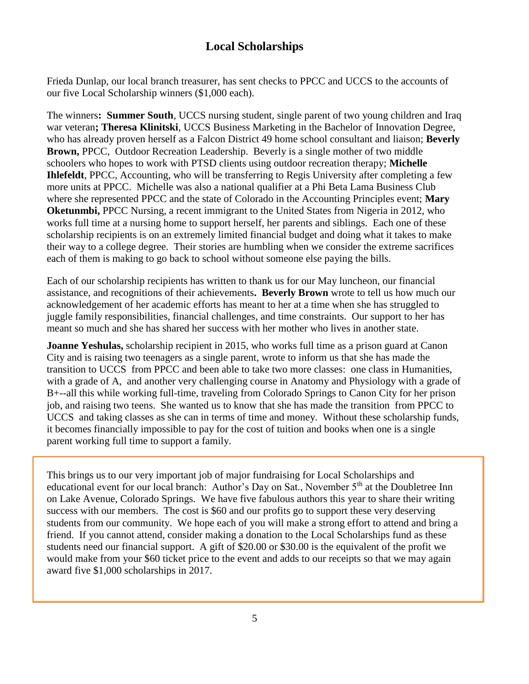## **Local Scholarships**

Frieda Dunlap, our local branch treasurer, has sent checks to PPCC and UCCS to the accounts of our five Local Scholarship winners (\$1,000 each).

The winners**: Summer South**, UCCS nursing student, single parent of two young children and Iraq war veteran**; Theresa Klinitski**, UCCS Business Marketing in the Bachelor of Innovation Degree, who has already proven herself as a Falcon District 49 home school consultant and liaison; **Beverly Brown,** PPCC, Outdoor Recreation Leadership. Beverly is a single mother of two middle schoolers who hopes to work with PTSD clients using outdoor recreation therapy; **Michelle Ihlefeldt**, PPCC, Accounting, who will be transferring to Regis University after completing a few more units at PPCC. Michelle was also a national qualifier at a Phi Beta Lama Business Club where she represented PPCC and the state of Colorado in the Accounting Principles event; **Mary Oketunmbi,** PPCC Nursing, a recent immigrant to the United States from Nigeria in 2012, who works full time at a nursing home to support herself, her parents and siblings. Each one of these scholarship recipients is on an extremely limited financial budget and doing what it takes to make their way to a college degree. Their stories are humbling when we consider the extreme sacrifices each of them is making to go back to school without someone else paying the bills.

Each of our scholarship recipients has written to thank us for our May luncheon, our financial assistance, and recognitions of their achievements**. Beverly Brown** wrote to tell us how much our acknowledgement of her academic efforts has meant to her at a time when she has struggled to juggle family responsibilities, financial challenges, and time constraints. Our support to her has meant so much and she has shared her success with her mother who lives in another state.

**Joanne Yeshulas,** scholarship recipient in 2015, who works full time as a prison guard at Canon City and is raising two teenagers as a single parent, wrote to inform us that she has made the transition to UCCS from PPCC and been able to take two more classes: one class in Humanities, with a grade of A, and another very challenging course in Anatomy and Physiology with a grade of B+--all this while working full-time, traveling from Colorado Springs to Canon City for her prison job, and raising two teens. She wanted us to know that she has made the transition from PPCC to UCCS and taking classes as she can in terms of time and money. Without these scholarship funds, it becomes financially impossible to pay for the cost of tuition and books when one is a single parent working full time to support a family.

This brings us to our very important job of major fundraising for Local Scholarships and educational event for our local branch: Author's Day on Sat., November 5<sup>th</sup> at the Doubletree Inn on Lake Avenue, Colorado Springs. We have five fabulous authors this year to share their writing success with our members. The cost is \$60 and our profits go to support these very deserving students from our community. We hope each of you will make a strong effort to attend and bring a friend. If you cannot attend, consider making a donation to the Local Scholarships fund as these students need our financial support. A gift of \$20.00 or \$30.00 is the equivalent of the profit we would make from your \$60 ticket price to the event and adds to our receipts so that we may again award five \$1,000 scholarships in 2017.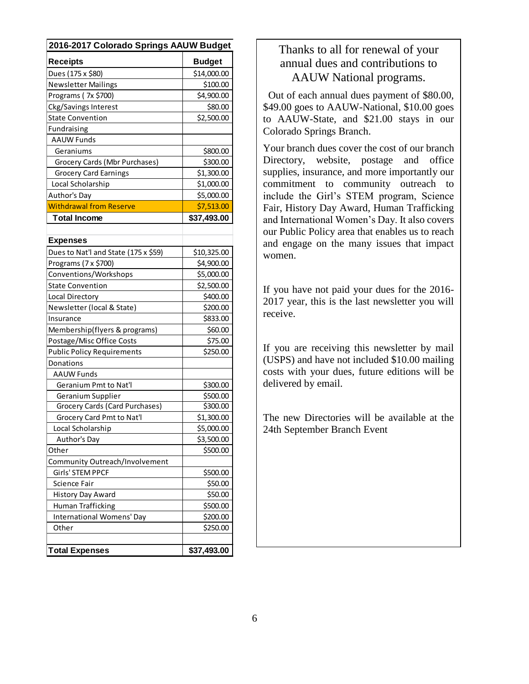| 2016-2017 Colorado Springs AAUW Budget |               |
|----------------------------------------|---------------|
| <b>Receipts</b>                        | <b>Budget</b> |
| Dues (175 x \$80)                      | \$14,000.00   |
| <b>Newsletter Mailings</b>             | \$100.00      |
| Programs (7x \$700)                    | \$4,900.00    |
| Ckg/Savings Interest                   | \$80.00       |
| <b>State Convention</b>                | \$2,500.00    |
| Fundraising                            |               |
| <b>AAUW Funds</b>                      |               |
| Geraniums                              | \$800.00      |
| Grocery Cards (Mbr Purchases)          | \$300.00      |
| <b>Grocery Card Earnings</b>           | \$1,300.00    |
| Local Scholarship                      | \$1,000.00    |
| Author's Day                           | \$5,000.00    |
| <b>Withdrawal from Reserve</b>         | \$7,513.00    |
| <b>Total Income</b>                    | \$37,493.00   |
|                                        |               |
| <b>Expenses</b>                        |               |
| Dues to Nat'l and State (175 x \$59)   | \$10,325.00   |
| Programs (7 x \$700)                   | \$4,900.00    |
| Conventions/Workshops                  | \$5,000.00    |
| <b>State Convention</b>                | \$2,500.00    |
| Local Directory                        | \$400.00      |
| Newsletter (local & State)             | \$200.00      |
| Insurance                              | \$833.00      |
| Membership(flyers & programs)          | \$60.00       |
| Postage/Misc Office Costs              | \$75.00       |
| <b>Public Policy Requirements</b>      | \$250.00      |
| Donations                              |               |
| <b>AAUW Funds</b>                      |               |
| Geranium Pmt to Nat'l                  | \$300.00      |
| Geranium Supplier                      | \$500.00      |
| Grocery Cards (Card Purchases)         | \$300.00      |
| Grocery Card Pmt to Nat'l              | \$1,300.00    |
| Local Scholarship                      | \$5,000.00    |
| Author's Day                           | \$3,500.00    |
| Other                                  | \$500.00      |
| Community Outreach/Involvement         |               |
| Girls' STEM PPCF                       | \$500.00      |
| Science Fair                           | \$50.00       |
| History Day Award                      | \$50.00       |
| Human Trafficking                      | \$500.00      |
| International Womens' Day              | \$200.00      |
| Other                                  | \$250.00      |
|                                        |               |
| <b>Total Expenses</b>                  | \$37,493.00   |

## Thanks to all for renewal of your annual dues and contributions to AAUW National programs.

 Out of each annual dues payment of \$80.00, \$49.00 goes to AAUW-National, \$10.00 goes to AAUW-State, and \$21.00 stays in our Colorado Springs Branch.

Your branch dues cover the cost of our branch Directory, website, postage and office supplies, insurance, and more importantly our commitment to community outreach to include the Girl's STEM program, Science Fair, History Day Award, Human Trafficking and International Women's Day. It also covers our Public Policy area that enables us to reach and engage on the many issues that impact women.

If you have not paid your dues for the 2016- 2017 year, this is the last newsletter you will receive.

If you are receiving this newsletter by mail (USPS) and have not included \$10.00 mailing costs with your dues, future editions will be delivered by email.

The new Directories will be available at the 24th September Branch Event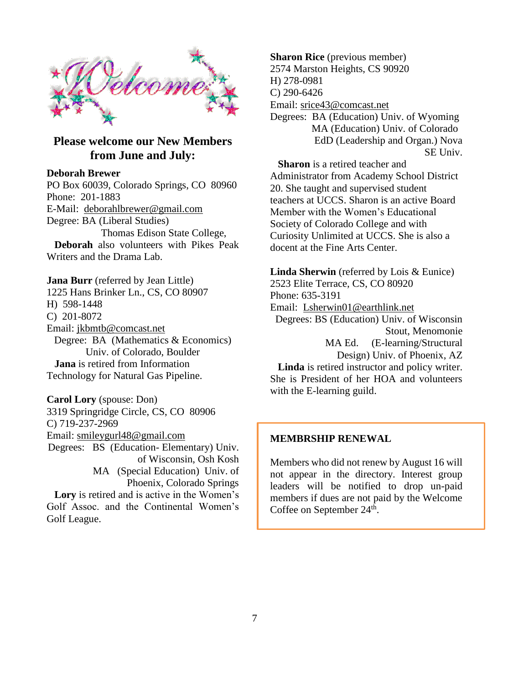

## **Please welcome our New Members from June and July:**

#### **Deborah Brewer**

PO Box 60039, Colorado Springs, CO 80960 Phone: [201-1883](tel:719-201-1883) E-Mail: [deborahlbrewer@gmail.com](https://mail.google.com/mail/u/0/h/ky7nrewuigsb/?&cs=wh&v=b&to=deborahlbrewer@gmail.com) Degree: BA (Liberal Studies) Thomas Edison State College,  **Deborah** also volunteers with Pikes Peak Writers and the Drama Lab.

**Jana Burr** (referred by Jean Little) 1225 Hans Brinker Ln., CS, CO 80907 H) 598-1448 C) 201-8072 Email: [jkbmtb@comcast.net](mailto:jkbmtb@comcast.net) Degree: BA (Mathematics & Economics) Univ. of Colorado, Boulder  **Jana** is retired from Information Technology for Natural Gas Pipeline.

**Carol Lory** (spouse: Don) 3319 Springridge Circle, CS, CO 80906 C) 719-237-2969 Email: [smileygurl48@gmail.com](mailto:smileygurl48@gmail.com) Degrees: BS (Education- Elementary) Univ. of Wisconsin, Osh Kosh MA (Special Education) Univ. of Phoenix, Colorado Springs  **Lory** is retired and is active in the Women's Golf Assoc. and the Continental Women's Golf League.

**Sharon Rice** (previous member) 2574 Marston Heights, CS 90920 H) 278-0981 C) 290-6426 Email: [srice43@comcast.net](mailto:srice43@comcast.net) Degrees: BA (Education) Univ. of Wyoming MA (Education) Univ. of Colorado EdD (Leadership and Organ.) Nova SE Univ.

**Sharon** is a retired teacher and Administrator from Academy School District 20. She taught and supervised student teachers at UCCS. Sharon is an active Board Member with the Women's Educational Society of Colorado College and with Curiosity Unlimited at UCCS. She is also a docent at the Fine Arts Center.

**Linda Sherwin** (referred by Lois & Eunice) 2523 Elite Terrace, CS, CO 80920 Phone: 635-3191 Email: [Lsherwin01@earthlink.net](mailto:Lsherwin01@earthlink.net) Degrees: BS (Education) Univ. of Wisconsin Stout, Menomonie MA Ed. (E-learning/Structural Design) Univ. of Phoenix, AZ  **Linda** is retired instructor and policy writer. She is President of her HOA and volunteers

#### **MEMBRSHIP RENEWAL**

with the E-learning guild.

Members who did not renew by August 16 will not appear in the directory. Interest group leaders will be notified to drop un-paid members if dues are not paid by the Welcome Coffee on September  $24^{\text{th}}$ .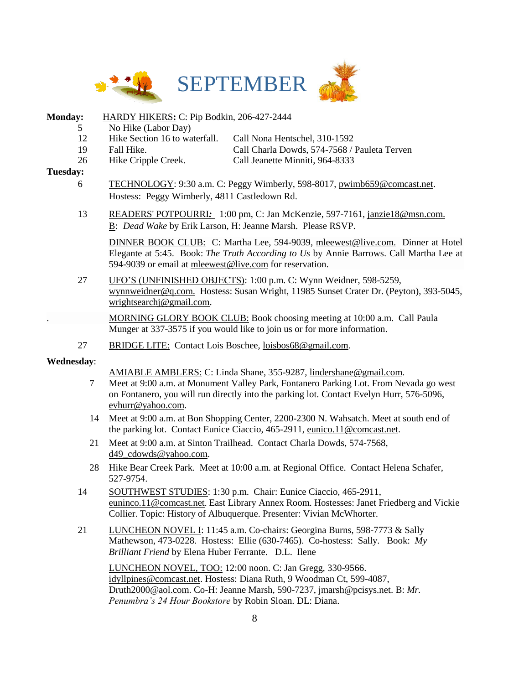

## **Monday:** HARDY HIKERS**:** C: Pip Bodkin, 206-427-2444

- 5 No Hike (Labor Day)
- 12 Hike Section 16 to waterfall. Call Nona Hentschel, 310-1592
- 19 Fall Hike. Call Charla Dowds, 574-7568 / Pauleta Terven
- 26 Hike Cripple Creek. Call Jeanette Minniti, 964-8333

#### **Tuesday:**

- 6 TECHNOLOGY: 9:30 a.m. C: Peggy Wimberly, 598-8017, [pwimb659@comcast.net.](mailto:pwimb659@comcast.net) Hostess: Peggy Wimberly, 4811 Castledown Rd.
- 13 READERS' POTPOURRI*:* 1:00 pm, C: Jan McKenzie, 597-7161, [janzie18@msn.com.](mailto:janzie18@msn.com.%20B)  [B:](mailto:janzie18@msn.com.%20B) *Dead Wake* by Erik Larson, H: Jeanne Marsh. Please RSVP.

DINNER BOOK CLUB: C: Martha Lee, 594-9039, [mleewest@live.com.](mailto:mleewest@live.com) Dinner at Hotel Elegante at 5:45. Book: *The Truth According to Us* by Annie Barrows. Call Martha Lee at 594-9039 or email at [mleewest@live.com](mailto:mleewest@live.com) for reservation.

27 UFO'S (UNFINISHED OBJECTS): 1:00 p.m. C: Wynn Weidner, 598-5259, [wynnweidner@q.com.](mailto:wynnweidner@q.com) Hostess: Susan Wright, 11985 Sunset Crater Dr. (Peyton), 393-5045, [wrightsearchj@gmail.com.](mailto:wrightsearchj@gmail.com)

. MORNING GLORY BOOK CLUB: Book choosing meeting at 10:00 a.m. Call Paula Munger at 337-3575 if you would like to join us or for more information.

27 BRIDGE LITE: Contact Lois Boschee, [loisbos68@gmail.com.](javascript:window.top.ZmObjectManager.__doClickObject(document.getElementById(%22OBJ_PREFIX_DWT820_com_zimbra_email%22));)

## **Wednesday**:

AMIABLE AMBLERS: C: Linda Shane, 355-9287, lindershane@gmail.com.

- 7 Meet at 9:00 a.m. at Monument Valley Park, Fontanero Parking Lot. From Nevada go west on Fontanero, you will run directly into the parking lot. Contact Evelyn Hurr, 576-5096, evhurr@yahoo.com.
- 14 Meet at 9:00 a.m. at Bon Shopping Center, 2200-2300 N. Wahsatch. Meet at south end of the parking lot. Contact Eunice Ciaccio, 465-2911, [eunico.11@comcast.net.](mailto:eunico.11@comcast.net)
- 21 Meet at 9:00 a.m. at Sinton Trailhead. Contact Charla Dowds, 574-7568, d49\_cdowds@yahoo.com.
- 28 Hike Bear Creek Park. Meet at 10:00 a.m. at Regional Office. Contact Helena Schafer, 527-9754.
- 14 SOUTHWEST STUDIES: 1:30 p.m. Chair: Eunice Ciaccio, 465-2911, [euninco.11@comcast.net](javascript:window.top.ZmObjectManager.__doClickObject(document.getElementById(%22OBJ_PREFIX_DWT936_com_zimbra_email%22));). East Library Annex Room. Hostesses: Janet Friedberg and Vickie Collier. Topic: History of Albuquerque. Presenter: Vivian McWhorter.
- 21 LUNCHEON NOVEL I: 11:45 a.m. Co-chairs: Georgina Burns, 598-7773 & Sally Mathewson, 473-0228. Hostess: Ellie (630-7465). Co-hostess: Sally. Book: *My Brilliant Friend* by Elena Huber Ferrante. D.L. Ilene

LUNCHEON NOVEL, TOO: 12:00 noon. C: Jan Gregg, 330-9566. [idyllpines@comcast.net.](mailto:idyllpines@comcast.net) Hostess: Diana Ruth, 9 Woodman Ct, 599-4087, [Druth2000@aol.com.](mailto:Druth2000@aol.com) Co-H: Jeanne Marsh, 590-7237, [jmarsh@pcisys.net.](mailto:jmarsh@pcisys.net) B: *Mr. Penumbra's 24 Hour Bookstore* by Robin Sloan. DL: Diana.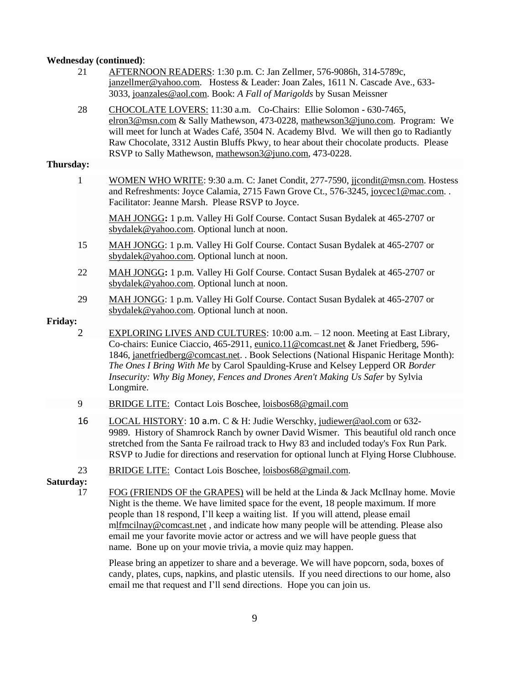#### **Wednesday (continued)**:

- 21 AFTERNOON READERS: 1:30 p.m. C: Jan Zellmer, 576-9086h, 314-5789c, [janzellmer@yahoo.com.](mailto:janzellmer@yahoo.com) Hostess & Leader: Joan Zales, 1611 N. Cascade Ave., 633- 3033, [joanzales@aol.com.](mailto:joanzales@aol.com) Book: *A Fall of Marigolds* by Susan Meissner
- 28 CHOCOLATE LOVERS: 11:30 a.m. Co-Chairs: Ellie Solomon 630-7465, [elron3@msn.com](mailto:elron3@msn.com) & Sally Mathewson, 473-0228, [mathewson3@juno.com.](javascript:window.top.ZmObjectManager.__doClickObject(document.getElementById(%22OBJ_PREFIX_DWT847_com_zimbra_email%22));) Program: We will meet for lunch at Wades Café, 3504 N. Academy Blvd. We will then go to Radiantly Raw Chocolate, 3312 Austin Bluffs Pkwy, to hear about their chocolate products. Please RSVP to Sally Mathewson, [mathewson3@juno.com,](javascript:window.top.ZmObjectManager.__doClickObject(document.getElementById(%22OBJ_PREFIX_DWT848_com_zimbra_email%22));) 473-0228.

#### **Thursday:**

1 WOMEN WHO WRITE: 9:30 a.m. C: Janet Condit, 277-7590, [jjcondit@msn.com.](javascript:window.top.ZmObjectManager.__doClickObject(document.getElementById(%22OBJ_PREFIX_DWT1065_com_zimbra_email%22));) Hostess and Refreshments: Joyce Calamia, 2715 Fawn Grove Ct., 576-3245, [joycec1@mac.com.](mailto:joycec1@mac.com) . Facilitator: Jeanne Marsh. Please RSVP to Joyce.

MAH JONGG**:** 1 p.m. Valley Hi Golf Course. Contact Susan Bydalek at 465-2707 or [sbydalek@yahoo.com.](mailto:sbydalek@yahoo.com) Optional lunch at noon.

- 15 MAH JONGG: 1 p.m. Valley Hi Golf Course. Contact Susan Bydalek at 465-2707 or [sbydalek@yahoo.com.](mailto:sbydalek@yahoo.com) Optional lunch at noon.
- 22 MAH JONGG**:** 1 p.m. Valley Hi Golf Course. Contact Susan Bydalek at 465-2707 or [sbydalek@yahoo.com.](mailto:sbydalek@yahoo.com) Optional lunch at noon.
- 29 MAH JONGG: 1 p.m. Valley Hi Golf Course. Contact Susan Bydalek at 465-2707 or [sbydalek@yahoo.com.](mailto:sbydalek@yahoo.com) Optional lunch at noon.

#### **Friday:**

- 2 EXPLORING LIVES AND CULTURES: 10:00 a.m. 12 noon. Meeting at East Library, Co-chairs: Eunice Ciaccio, 465-2911, [eunico.11@comcast.net](mailto:eunico.11@comcast.net) & Janet Friedberg, 596- 1846, [janetfriedberg@comcast.net.](javascript:window.top.ZmObjectManager.__doClickObject(document.getElementById(%22OBJ_PREFIX_DWT1064_com_zimbra_email%22));) . Book Selections (National Hispanic Heritage Month): *The Ones I Bring With Me* by Carol Spaulding-Kruse and Kelsey Lepperd OR *Border Insecurity: Why Big Money, Fences and Drones Aren't Making Us Safer* by Sylvia Longmire.
- 9 BRIDGE LITE: Contact Lois Boschee, [loisbos68@gmail.com](javascript:window.top.ZmObjectManager.__doClickObject(document.getElementById(%22OBJ_PREFIX_DWT820_com_zimbra_email%22));)
- 16 LOCAL HISTORY: 10 a.m. C & H: Judie Werschky, [judiewer@aol.com](javascript:window.top.ZmObjectManager.__doClickObject(document.getElementById(%22OBJ_PREFIX_DWT971_com_zimbra_email%22));) or 632- 9989. History of Shamrock Ranch by owner David Wismer. This beautiful old ranch once stretched from the Santa Fe railroad track to Hwy 83 and included today's Fox Run Park. RSVP to Judie for directions and reservation for optional lunch at Flying Horse Clubhouse.
- 23 BRIDGE LITE: Contact Lois Boschee, [loisbos68@gmail.com.](javascript:window.top.ZmObjectManager.__doClickObject(document.getElementById(%22OBJ_PREFIX_DWT820_com_zimbra_email%22));)

**Saturday:**

17 FOG (FRIENDS OF the GRAPES) will be held at the Linda & Jack McIlnay home. Movie Night is the theme. We have limited space for the event, 18 people maximum. If more people than 18 respond, I'll keep a waiting list. If you will attend, please email [mlfmcilnay@comcast.net](javascript:window.top.ZmObjectManager.__doClickObject(document.getElementById(%22OBJ_PREFIX_DWT960_com_zimbra_email%22));) , and indicate how many people will be attending. Please also email me your favorite movie actor or actress and we will have people guess that name. Bone up on your movie trivia, a movie quiz may happen.

Please bring an appetizer to share and a beverage. We will have popcorn, soda, boxes of candy, plates, cups, napkins, and plastic utensils. If you need directions to our home, also email me that request and I'll send directions. Hope you can join us.